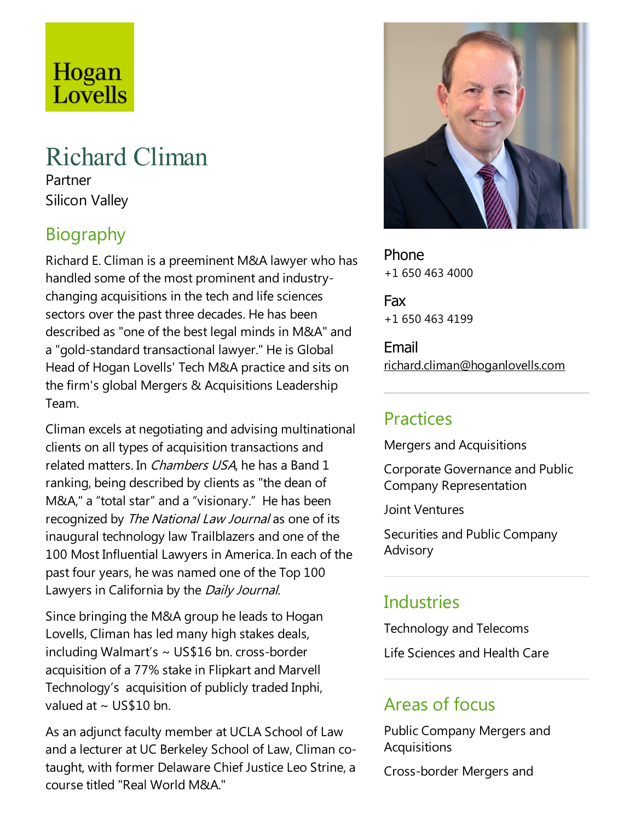# Hogan Lovells

# Richard Climan

Partner Silicon Valley

# Biography

Richard E. Climan is a preeminent M&A lawyer who has handled some of the most prominent and industrychanging acquisitions in the tech and life sciences sectors over the past three decades. He has been described as "one of the best legal minds in M&A" and a"gold-standard transactional lawyer." Heis Global Head of Hogan Lovells' Tech M&A practice and sits on the firm's global Mergers & Acquisitions Leadership Team.

Climan excels at negotiating and advising multinational clients on all types of acquisition transactions and related matters. In *Chambers USA*, he has a Band 1 ranking, being described by clients as "the dean of M&A," a "total star" and a "visionary." He has been recognized by The National Law Journal as one of its inaugural technology law Trailblazers and one of the 100 Most Influential Lawyers in America. In each of the past four years, he was named one of the Top 100 Lawyers in California by the Daily Journal.

Since bringing the M&A group heleads to Hogan Lovells, Climan has led many high stakes deals, including Walmart's  $\sim$  US\$16 bn. cross-border acquisition of a 77% stake in Flipkart and Marvell Technology's acquisition of publicly traded Inphi, valued at  $\sim$  US\$10 bn.

As an adjunct faculty member at UCLA School of Law and alecturer at UC Berkeley School of Law, Climan cotaught, with former Delaware Chief Justice Leo Strine, a course titled "Real World M&A."



Phone +1 650 463 4000

Fax +1 650 463 4199

Email richard.climan@hoganlovells.com

# Practices

Mergers and Acquisitions

Corporate Governance and Public Company Representation

Joint Ventures

Securities and Public Company Advisory

# **Industries**

Technology and Telecoms

Life Sciences and Health Care

# Areas of focus

Public Company Mergers and Acquisitions

Cross-border Mergers and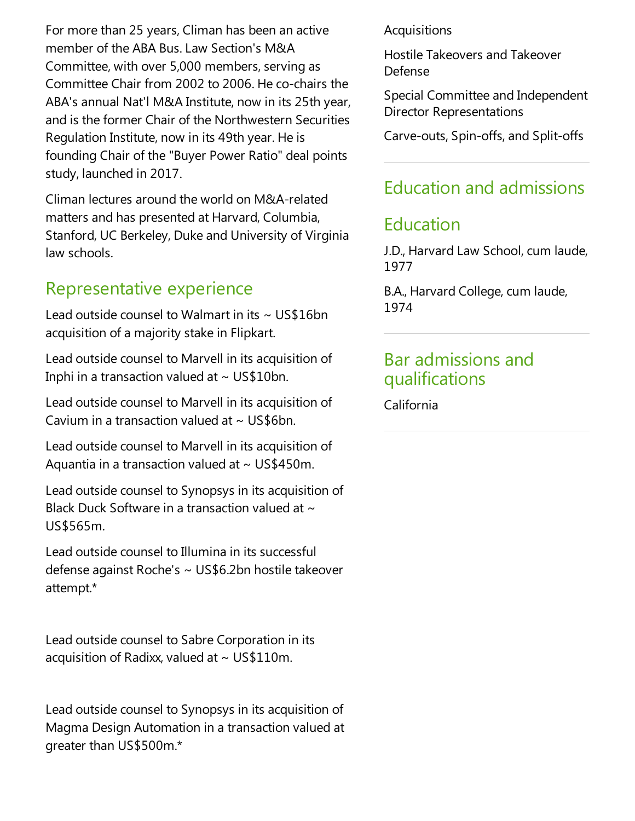For more than 25 years, Climan has been an active member of the ABA Bus.Law Section's M&A Committee, with over 5,000 members, serving as Committee Chair from 2002 to 2006. He co-chairs the ABA's annual Nat'l M&A Institute, now in its 25th year, and is the former Chair of the Northwestern Securities Regulation Institute, now in its 49th year. Heis founding Chair of the"Buyer Power Ratio" deal points study, launched in 2017.

Climan lectures around the world on M&A-related matters and has presented at Harvard, Columbia, Stanford, UC Berkeley, Duke and University of Virginia law schools.

## Representative experience

Lead outside counsel to Walmart in its  $\sim$  US\$16bn acquisition of a majority stake in Flipkart.

Lead outside counsel to Marvell in its acquisition of Inphi in a transaction valued at  $\sim$  US\$10bn.

Lead outside counsel to Marvell in its acquisition of Cavium in a transaction valued at  $\sim$  US\$6bn.

Lead outside counsel to Marvell in its acquisition of Aquantia in a transaction valued at  $\sim$  US\$450m.

Lead outside counsel to Synopsys in its acquisition of Black Duck Software in a transaction valued at  $\sim$ US\$565m.

Lead outside counsel to Illumina in its successful defense against Roche's  $\sim$  US\$6.2bn hostile takeover attempt.\*

Lead outside counsel to Sabre Corporation in its acquisition of Radixx, valued at  $\sim$  US\$110m.

Lead outside counsel to Synopsys in its acquisition of Magma Design Automation in a transaction valued at greater than US\$500m.\*

#### Acquisitions

HostileTakeovers and Takeover Defense

Special Committee and Independent Director Representations

Carve-outs, Spin-offs,and Split-offs

# Education and admissions

# **Education**

J.D., Harvard Law School, cum laude, 1977

B.A., Harvard College, cum laude, 1974

### Bar admissions and qualifications

California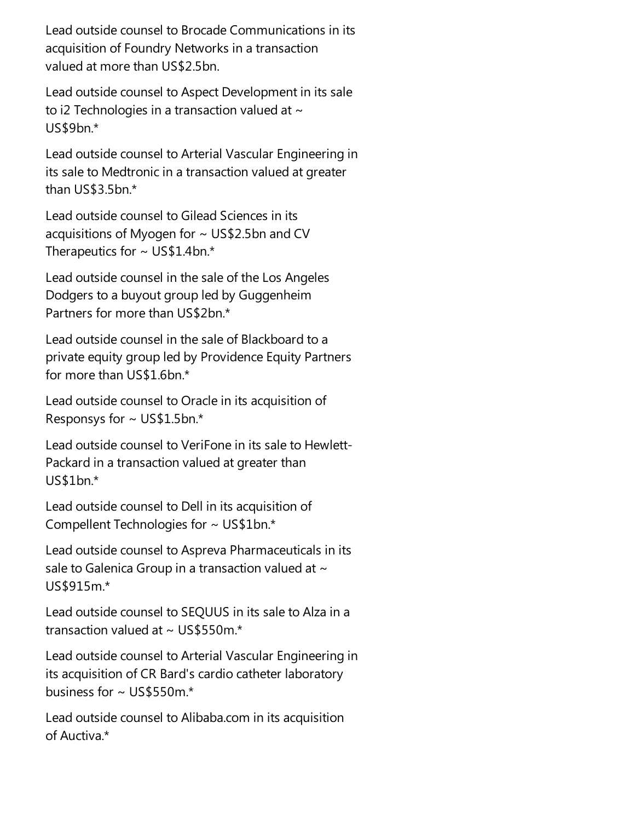Lead outsidecounsel to Brocade Communications in its acquisition of Foundry Networks in a transaction valued at more than US\$2.5bn.

Lead outside counsel to Aspect Development in its sale to i2 Technologies in a transaction valued at  $\sim$ US\$9bn.\*

Lead outside counsel to Arterial Vascular Engineering in its sale to Medtronic in a transaction valued at greater than US\$3.5bn.\*

Lead outsidecounsel to Gilead Sciences in its acquisitions of Myogen for  $\sim$  US\$2.5bn and CV Therapeutics for  $\sim$  US\$1.4bn.\*

Lead outside counsel in the sale of the Los Angeles Dodgers to a buyout group led by Guggenheim Partners for more than US\$2bn.\*

Lead outsidecounsel in thesale of Blackboard to a private equity group led by Providence Equity Partners for more than  $US$1.6$ bn. $*$ 

Lead outside counsel to Oracle in its acquisition of Responsys for  $\sim$  US\$1.5bn.\*

Lead outside counsel to VeriFone in its sale to Hewlett-Packard in a transaction valued at greater than US\$1bn.\*

Lead outside counsel to Dell in its acquisition of Compellent Technologies for  $\sim$  US\$1bn.\*

Lead outside counsel to Aspreva Pharmaceuticals in its sale to Galenica Group in a transaction valued at  $\sim$ US\$915m.\*

Lead outside counsel to SEQUUS in its sale to Alza in a transaction valued at  $\sim$  US\$550m.\*

Lead outside counsel to Arterial Vascular Engineering in its acquisition of CR Bard's cardio catheter laboratory business for  $\sim$  US\$550m.\*

Lead outside counsel to Alibaba.com in its acquisition of Auctiva.\*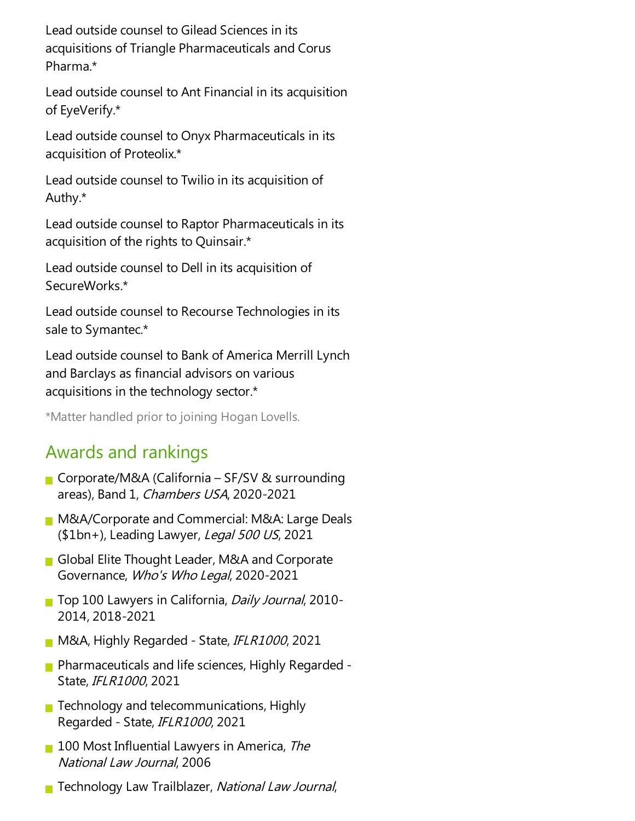Lead outsidecounsel to Gilead Sciences in its acquisitions of Triangle Pharmaceuticals and Corus Pharma\*

Lead outside counsel to Ant Financial in its acquisition of EyeVerify.\*

Lead outside counsel to Onyx Pharmaceuticals in its acquisition of Proteolix.\*

Lead outside counsel to Twilio in its acquisition of Authy.\*

Lead outside counsel to Raptor Pharmaceuticals in its acquisition of the rights to Quinsair.\*

Lead outside counsel to Dell in its acquisition of SecureWorks.\*

Lead outside counsel to Recourse Technologies in its sale to Symantec.\*

Lead outside counsel to Bank of America Merrill Lynch and Barclays as financial advisors on various acquisitions in the technology sector.\*

\*Matter handled prior to joining Hogan Lovells.

# Awards and rankings

- Corporate/M&A (California SF/SV & surrounding areas), Band 1, Chambers USA, 2020-2021
- **M&A/Corporate and Commercial: M&A: Large Deals**  $(1bn+)$ , Leading Lawyer, Legal 500 US, 2021
- Global Elite Thought Leader, M&A and Corporate Governance, Who's Who Legal, 2020-2021
- Top 100 Lawyers in California, Daily Journal, 2010-2014, 2018-2021
- **M&A, Highly Regarded State, IFLR1000, 2021**
- **Pharmaceuticals and life sciences, Highly Regarded -**State, IFLR1000, 2021
- $\blacksquare$  Technology and telecommunications, Highly Regarded - State, IFLR1000, 2021
- **100 Most Influential Lawyers in America**, The National Law Journal, 2006
- **Technology Law Trailblazer, National Law Journal,**